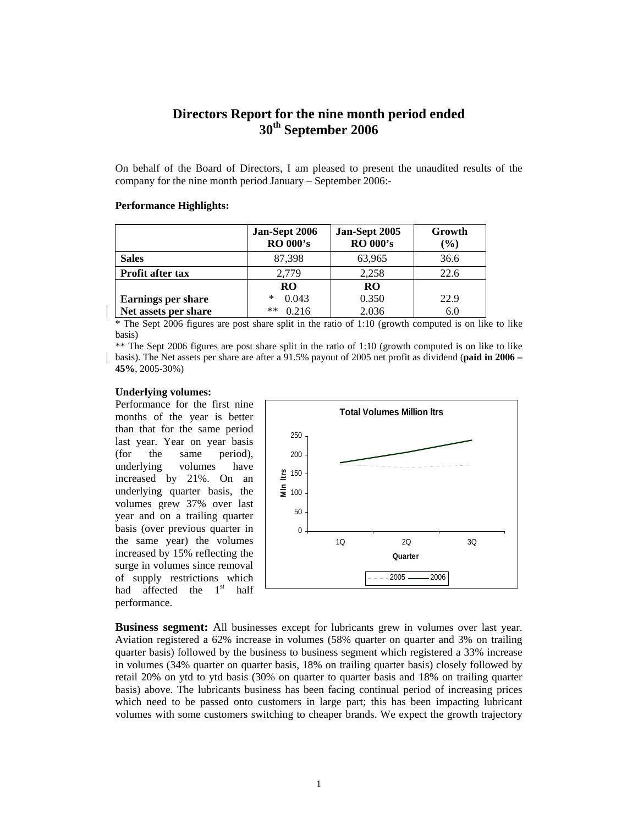# **Directors Report for the nine month period ended 30th September 2006**

On behalf of the Board of Directors, I am pleased to present the unaudited results of the company for the nine month period January – September 2006:-

### **Performance Highlights:**

|                           | Jan-Sept 2006<br><b>RO 000's</b> | Jan-Sept 2005<br><b>RO 000's</b> | Growth<br>$(\%)$ |
|---------------------------|----------------------------------|----------------------------------|------------------|
| <b>Sales</b>              | 87,398                           | 63,965                           | 36.6             |
| <b>Profit after tax</b>   | 2.779                            | 2,258                            | 22.6             |
|                           | <b>RO</b>                        | <b>RO</b>                        |                  |
| <b>Earnings per share</b> | 0.043<br>∗                       | 0.350                            | 22.9             |
| Net assets per share      | 0.216<br>**                      | 2.036                            | 6.0              |

\* The Sept 2006 figures are post share split in the ratio of 1:10 (growth computed is on like to like basis)

\*\* The Sept 2006 figures are post share split in the ratio of 1:10 (growth computed is on like to like basis). The Net assets per share are after a 91.5% payout of 2005 net profit as dividend (**paid in 2006 – 45%**, 2005-30%)

#### **Underlying volumes:**

Performance for the first nine months of the year is better than that for the same period last year. Year on year basis (for the same period), underlying volumes have increased by 21%. On an underlying quarter basis, the volumes grew 37% over last year and on a trailing quarter basis (over previous quarter in the same year) the volumes increased by 15% reflecting the surge in volumes since removal of supply restrictions which had affected the 1<sup>st</sup> half performance.



**Business segment:** All businesses except for lubricants grew in volumes over last year. Aviation registered a 62% increase in volumes (58% quarter on quarter and 3% on trailing quarter basis) followed by the business to business segment which registered a 33% increase in volumes (34% quarter on quarter basis, 18% on trailing quarter basis) closely followed by retail 20% on ytd to ytd basis (30% on quarter to quarter basis and 18% on trailing quarter basis) above. The lubricants business has been facing continual period of increasing prices which need to be passed onto customers in large part; this has been impacting lubricant volumes with some customers switching to cheaper brands. We expect the growth trajectory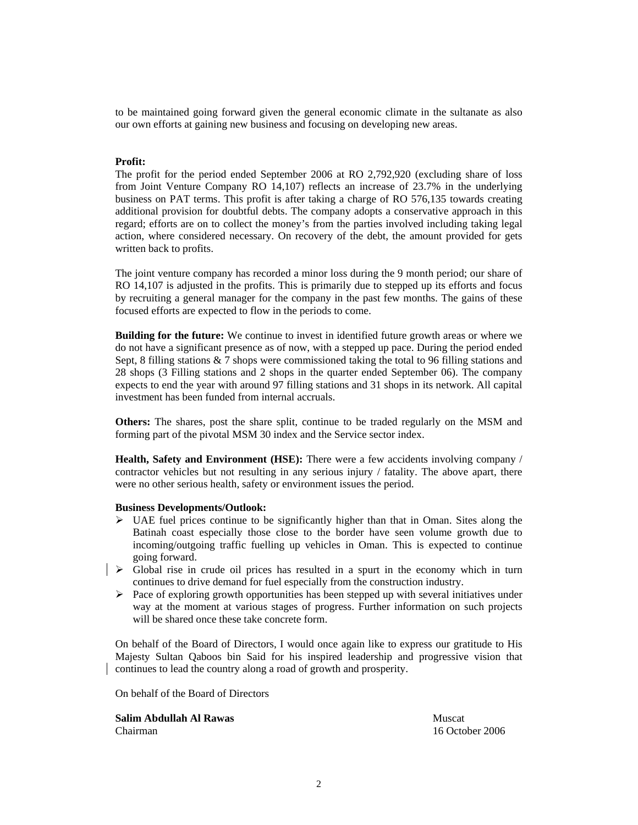to be maintained going forward given the general economic climate in the sultanate as also our own efforts at gaining new business and focusing on developing new areas.

### **Profit:**

The profit for the period ended September 2006 at RO 2,792,920 (excluding share of loss from Joint Venture Company RO 14,107) reflects an increase of 23.7% in the underlying business on PAT terms. This profit is after taking a charge of RO 576,135 towards creating additional provision for doubtful debts. The company adopts a conservative approach in this regard; efforts are on to collect the money's from the parties involved including taking legal action, where considered necessary. On recovery of the debt, the amount provided for gets written back to profits.

The joint venture company has recorded a minor loss during the 9 month period; our share of RO 14,107 is adjusted in the profits. This is primarily due to stepped up its efforts and focus by recruiting a general manager for the company in the past few months. The gains of these focused efforts are expected to flow in the periods to come.

**Building for the future:** We continue to invest in identified future growth areas or where we do not have a significant presence as of now, with a stepped up pace. During the period ended Sept, 8 filling stations & 7 shops were commissioned taking the total to 96 filling stations and 28 shops (3 Filling stations and 2 shops in the quarter ended September 06). The company expects to end the year with around 97 filling stations and 31 shops in its network. All capital investment has been funded from internal accruals.

**Others:** The shares, post the share split, continue to be traded regularly on the MSM and forming part of the pivotal MSM 30 index and the Service sector index.

**Health, Safety and Environment (HSE):** There were a few accidents involving company / contractor vehicles but not resulting in any serious injury / fatality. The above apart, there were no other serious health, safety or environment issues the period.

### **Business Developments/Outlook:**

- $\triangleright$  UAE fuel prices continue to be significantly higher than that in Oman. Sites along the Batinah coast especially those close to the border have seen volume growth due to incoming/outgoing traffic fuelling up vehicles in Oman. This is expected to continue going forward.
- $\triangleright$  Global rise in crude oil prices has resulted in a spurt in the economy which in turn continues to drive demand for fuel especially from the construction industry.
	- ¾ Pace of exploring growth opportunities has been stepped up with several initiatives under way at the moment at various stages of progress. Further information on such projects will be shared once these take concrete form.

On behalf of the Board of Directors, I would once again like to express our gratitude to His Majesty Sultan Qaboos bin Said for his inspired leadership and progressive vision that continues to lead the country along a road of growth and prosperity.

On behalf of the Board of Directors

**Salim Abdullah Al Rawas Muscat Al Rawas Muscat Al Rawas Muscat Al Rawas Muscat** 

Chairman 16 October 2006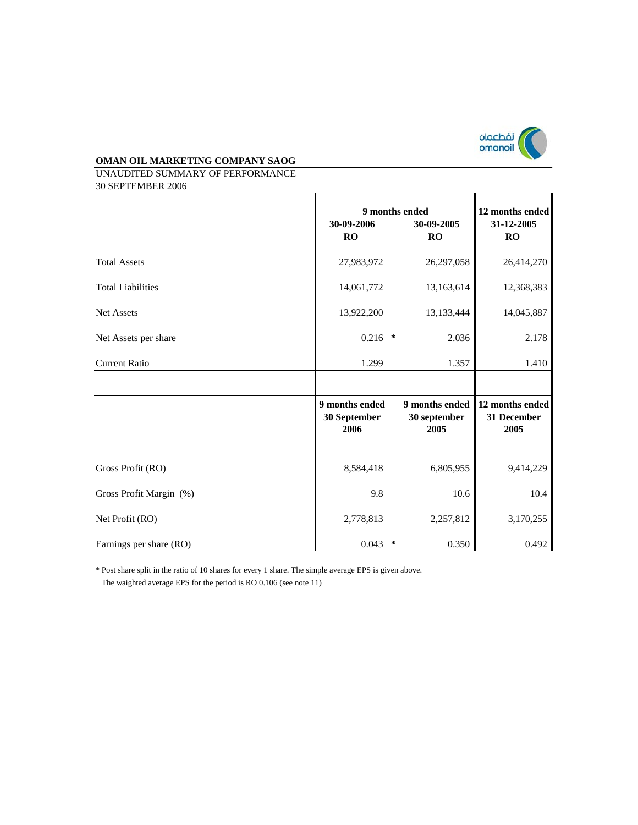

UNAUDITED SUMMARY OF PERFORMANCE 30 SEPTEMBER 2006

|                          | 30-09-2006<br>RO                       |         | 9 months ended<br>30-09-2005<br>RO     | 12 months ended<br>31-12-2005<br><b>RO</b> |
|--------------------------|----------------------------------------|---------|----------------------------------------|--------------------------------------------|
| <b>Total Assets</b>      | 27,983,972                             |         | 26,297,058                             | 26,414,270                                 |
| <b>Total Liabilities</b> | 14,061,772                             |         | 13,163,614                             | 12,368,383                                 |
| Net Assets               | 13,922,200                             |         | 13,133,444                             | 14,045,887                                 |
| Net Assets per share     | $0.216$ *                              |         | 2.036                                  | 2.178                                      |
| <b>Current Ratio</b>     | 1.299                                  |         | 1.357                                  | 1.410                                      |
|                          |                                        |         |                                        |                                            |
|                          | 9 months ended<br>30 September<br>2006 |         | 9 months ended<br>30 september<br>2005 | 12 months ended<br>31 December<br>2005     |
| Gross Profit (RO)        | 8,584,418                              |         | 6,805,955                              | 9,414,229                                  |
| Gross Profit Margin (%)  | 9.8                                    |         | 10.6                                   | 10.4                                       |
| Net Profit (RO)          | 2,778,813                              |         | 2,257,812                              | 3,170,255                                  |
| Earnings per share (RO)  |                                        | $\star$ |                                        | 0.492                                      |

\* Post share split in the ratio of 10 shares for every 1 share. The simple average EPS is given above.

The waighted average EPS for the period is RO 0.106 (see note 11)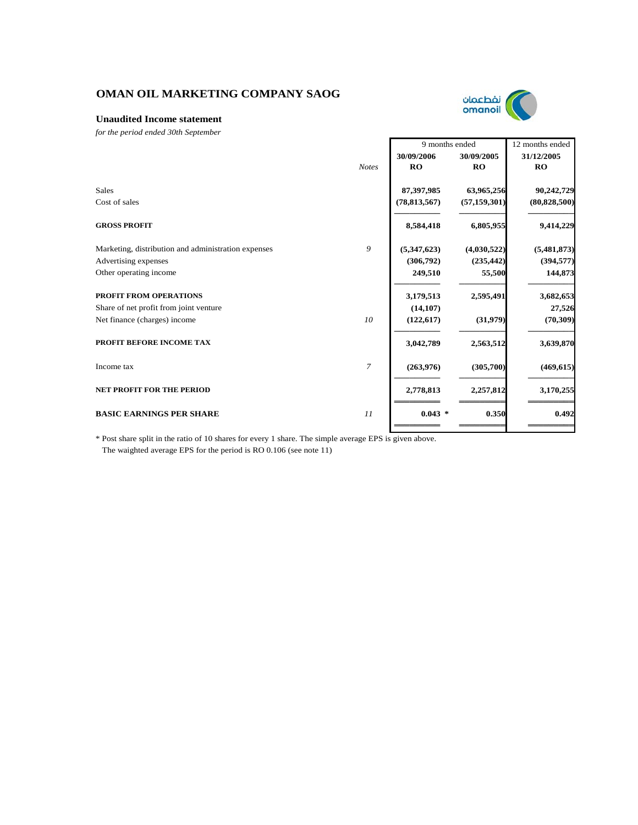

### **Unaudited Income statement**

*for the period ended 30th September*

|                                                     |                |                | 9 months ended |                |
|-----------------------------------------------------|----------------|----------------|----------------|----------------|
|                                                     |                | 30/09/2006     | 30/09/2005     | 31/12/2005     |
|                                                     | <b>Notes</b>   | RO             | RO             | <b>RO</b>      |
| <b>Sales</b>                                        |                | 87,397,985     | 63,965,256     | 90,242,729     |
| Cost of sales                                       |                | (78, 813, 567) | (57, 159, 301) | (80, 828, 500) |
| <b>GROSS PROFIT</b>                                 |                | 8,584,418      | 6,805,955      | 9,414,229      |
| Marketing, distribution and administration expenses | 9              | (5,347,623)    | (4,030,522)    | (5,481,873)    |
| Advertising expenses                                |                | (306,792)      | (235, 442)     | (394, 577)     |
| Other operating income                              |                | 249,510        | 55,500         | 144,873        |
| <b>PROFIT FROM OPERATIONS</b>                       |                | 3,179,513      | 2,595,491      | 3,682,653      |
| Share of net profit from joint venture              |                | (14, 107)      |                | 27,526         |
| Net finance (charges) income                        | 10             | (122, 617)     | (31,979)       | (70, 309)      |
| PROFIT BEFORE INCOME TAX                            |                | 3,042,789      | 2,563,512      | 3,639,870      |
| Income tax                                          | $\overline{7}$ | (263,976)      | (305,700)      | (469, 615)     |
| <b>NET PROFIT FOR THE PERIOD</b>                    |                | 2,778,813      | 2,257,812      | 3,170,255      |
| <b>BASIC EARNINGS PER SHARE</b>                     | 11             | $0.043$ *      | 0.350          | 0.492          |
|                                                     |                |                |                |                |

\* Post share split in the ratio of 10 shares for every 1 share. The simple average EPS is given above. The waighted average EPS for the period is RO 0.106 (see note 11)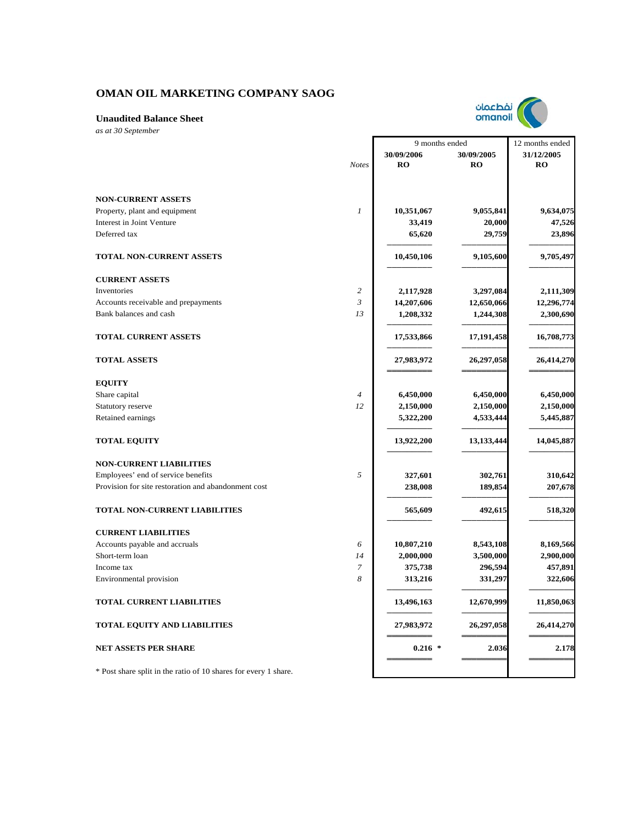

9 months ended

 $\Gamma$ 

12 months ended

**Unaudited Balance Sheet**

*as at 30 September*

|                                                                 |                | 30/09/2006 | 30/09/2005 | 31/12/2005 |
|-----------------------------------------------------------------|----------------|------------|------------|------------|
|                                                                 | <b>Notes</b>   | <b>RO</b>  | <b>RO</b>  | RO         |
|                                                                 |                |            |            |            |
| <b>NON-CURRENT ASSETS</b>                                       |                |            |            |            |
| Property, plant and equipment                                   | $\mathcal{I}$  | 10,351,067 | 9,055,841  | 9,634,075  |
| Interest in Joint Venture                                       |                | 33,419     | 20,000     | 47,526     |
| Deferred tax                                                    |                | 65,620     | 29,759     | 23,896     |
| <b>TOTAL NON-CURRENT ASSETS</b>                                 |                | 10,450,106 | 9,105,600  | 9,705,497  |
| <b>CURRENT ASSETS</b>                                           |                |            |            |            |
| Inventories                                                     | $\overline{c}$ | 2,117,928  | 3,297,084  | 2,111,309  |
| Accounts receivable and prepayments                             | $\mathfrak{Z}$ | 14,207,606 | 12,650,066 | 12,296,774 |
| Bank balances and cash                                          | 13             | 1,208,332  | 1,244,308  | 2,300,690  |
| <b>TOTAL CURRENT ASSETS</b>                                     |                | 17,533,866 | 17,191,458 | 16,708,773 |
| <b>TOTAL ASSETS</b>                                             |                | 27,983,972 | 26,297,058 | 26,414,270 |
| <b>EQUITY</b>                                                   |                |            |            |            |
| Share capital                                                   | $\overline{4}$ | 6,450,000  | 6,450,000  | 6,450,000  |
| Statutory reserve                                               | 12             | 2,150,000  | 2,150,000  | 2,150,000  |
| Retained earnings                                               |                | 5,322,200  | 4,533,444  | 5,445,887  |
| <b>TOTAL EQUITY</b>                                             |                | 13,922,200 | 13,133,444 | 14,045,887 |
| <b>NON-CURRENT LIABILITIES</b>                                  |                |            |            |            |
| Employees' end of service benefits                              | 5              | 327,601    | 302,761    | 310,642    |
| Provision for site restoration and abandonment cost             |                | 238,008    | 189,854    | 207,678    |
| <b>TOTAL NON-CURRENT LIABILITIES</b>                            |                | 565,609    | 492,615    | 518,320    |
| <b>CURRENT LIABILITIES</b>                                      |                |            |            |            |
| Accounts payable and accruals                                   | 6              | 10,807,210 | 8,543,108  | 8,169,566  |
| Short-term loan                                                 | 14             | 2,000,000  | 3,500,000  | 2,900,000  |
| Income tax                                                      | 7              | 375,738    | 296,594    | 457,891    |
| Environmental provision                                         | 8              | 313,216    | 331,297    | 322,606    |
| TOTAL CURRENT LIABILITIES                                       |                | 13,496,163 | 12,670,999 | 11,850,063 |
| <b>TOTAL EQUITY AND LIABILITIES</b>                             |                | 27,983,972 | 26,297,058 | 26,414,270 |
| <b>NET ASSETS PER SHARE</b>                                     |                | $0.216$ *  | 2.036      | 2.178      |
| * Post share split in the ratio of 10 shares for every 1 share. |                |            |            |            |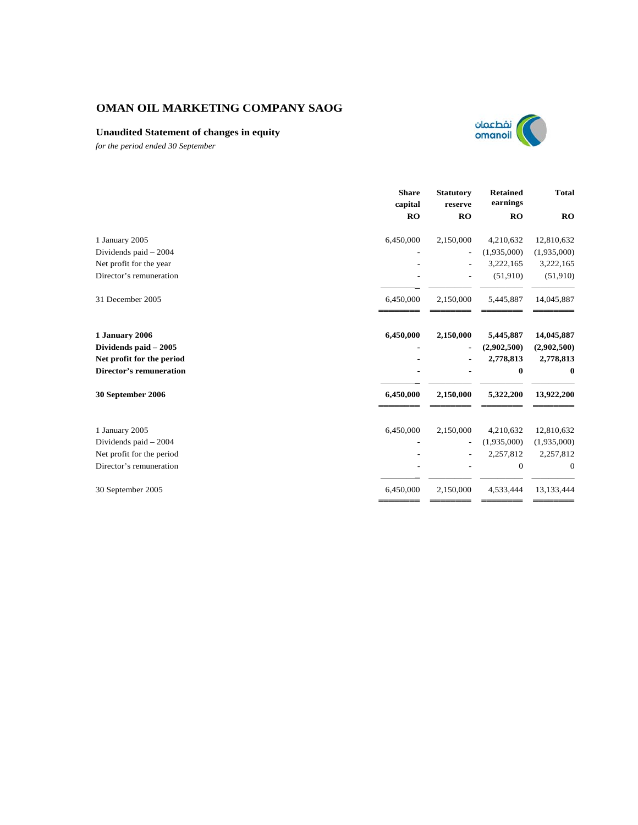## **Unaudited Statement of changes in equity**



*for the period ended 30 September*

|                                | <b>Share</b><br>capital | <b>Statutory</b><br>reserve | <b>Retained</b><br>earnings | <b>Total</b> |
|--------------------------------|-------------------------|-----------------------------|-----------------------------|--------------|
|                                | <b>RO</b>               | RO                          | RO                          | <b>RO</b>    |
| 1 January 2005                 | 6,450,000               | 2,150,000                   | 4,210,632                   | 12,810,632   |
| Dividends paid - 2004          |                         | $\overline{\phantom{0}}$    | (1,935,000)                 | (1,935,000)  |
| Net profit for the year        |                         |                             | 3,222,165                   | 3,222,165    |
| Director's remuneration        |                         |                             | (51,910)                    | (51,910)     |
| 31 December 2005               | 6,450,000               | 2,150,000                   | 5,445,887                   | 14,045,887   |
| 1 January 2006                 | 6,450,000               | 2,150,000                   | 5,445,887                   | 14,045,887   |
| Dividends paid - 2005          |                         |                             | (2,902,500)                 | (2,902,500)  |
| Net profit for the period      |                         |                             | 2,778,813                   | 2,778,813    |
| <b>Director's remuneration</b> |                         |                             | $\bf{0}$                    | $\bf{0}$     |
| 30 September 2006              | 6,450,000               | 2,150,000                   | 5,322,200                   | 13,922,200   |
| 1 January 2005                 | 6,450,000               | 2,150,000                   | 4,210,632                   | 12,810,632   |
| Dividends paid - 2004          |                         |                             | (1,935,000)                 | (1,935,000)  |
| Net profit for the period      |                         |                             | 2,257,812                   | 2,257,812    |
| Director's remuneration        |                         |                             | $\bf{0}$                    | $\mathbf{0}$ |
| 30 September 2005              | 6,450,000               | 2,150,000                   | 4,533,444                   | 13,133,444   |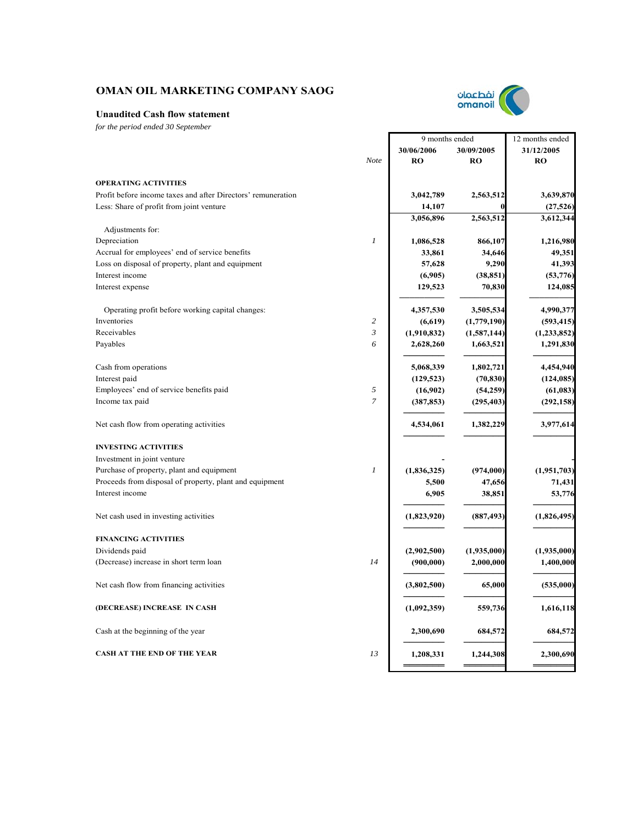

*for the period ended 30 September*

|                                                              |                  | 9 months ended |             | 12 months ended |
|--------------------------------------------------------------|------------------|----------------|-------------|-----------------|
|                                                              |                  | 30/06/2006     | 30/09/2005  | 31/12/2005      |
|                                                              | Note             | <b>RO</b>      | <b>RO</b>   | <b>RO</b>       |
| <b>OPERATING ACTIVITIES</b>                                  |                  |                |             |                 |
| Profit before income taxes and after Directors' remuneration |                  | 3,042,789      | 2,563,512   | 3,639,870       |
| Less: Share of profit from joint venture                     |                  | 14,107         |             | (27, 526)       |
|                                                              |                  | 3,056,896      | 2,563,512   | 3,612,344       |
| Adjustments for:                                             |                  |                |             |                 |
| Depreciation                                                 | $\mathfrak{1}$   | 1,086,528      | 866,107     | 1,216,980       |
| Accrual for employees' end of service benefits               |                  | 33,861         | 34,646      | 49,351          |
| Loss on disposal of property, plant and equipment            |                  | 57,628         | 9,290       | 41,393          |
| Interest income                                              |                  | (6,905)        | (38, 851)   | (53, 776)       |
| Interest expense                                             |                  | 129,523        | 70,830      | 124,085         |
| Operating profit before working capital changes:             |                  | 4,357,530      | 3,505,534   | 4,990,377       |
| Inventories                                                  | $\overline{c}$   | (6,619)        | (1,779,190) | (593, 415)      |
| Receivables                                                  | $\mathfrak{Z}$   | (1,910,832)    | (1,587,144) | (1, 233, 852)   |
| Payables                                                     | 6                | 2,628,260      | 1,663,521   | 1,291,830       |
| Cash from operations                                         |                  | 5,068,339      | 1,802,721   | 4,454,940       |
| Interest paid                                                |                  | (129, 523)     | (70, 830)   | (124, 085)      |
| Employees' end of service benefits paid                      | 5                | (16,902)       | (54, 259)   | (61,083)        |
| Income tax paid                                              | $\overline{7}$   | (387, 853)     | (295, 403)  | (292, 158)      |
|                                                              |                  |                |             |                 |
| Net cash flow from operating activities                      |                  | 4,534,061      | 1,382,229   | 3,977,614       |
| <b>INVESTING ACTIVITIES</b>                                  |                  |                |             |                 |
| Investment in joint venture                                  |                  |                |             |                 |
| Purchase of property, plant and equipment                    | $\boldsymbol{l}$ | (1,836,325)    | (974,000)   | (1,951,703)     |
| Proceeds from disposal of property, plant and equipment      |                  | 5,500          | 47,656      | 71,431          |
| Interest income                                              |                  | 6,905          | 38,851      | 53,776          |
| Net cash used in investing activities                        |                  | (1,823,920)    | (887, 493)  | (1,826,495)     |
| <b>FINANCING ACTIVITIES</b>                                  |                  |                |             |                 |
| Dividends paid                                               |                  | (2,902,500)    | (1,935,000) | (1,935,000)     |
| (Decrease) increase in short term loan                       | 14               | (900,000)      | 2,000,000   | 1,400,000       |
| Net cash flow from financing activities                      |                  | (3,802,500)    | 65,000      | (535,000)       |
| (DECREASE) INCREASE IN CASH                                  |                  | (1,092,359)    | 559,736     | 1,616,118       |
| Cash at the beginning of the year                            |                  | 2,300,690      | 684,572     | 684,572         |
| <b>CASH AT THE END OF THE YEAR</b>                           | 13               | 1,208,331      | 1,244,308   | 2,300,690       |
|                                                              |                  |                |             |                 |



 $\Gamma$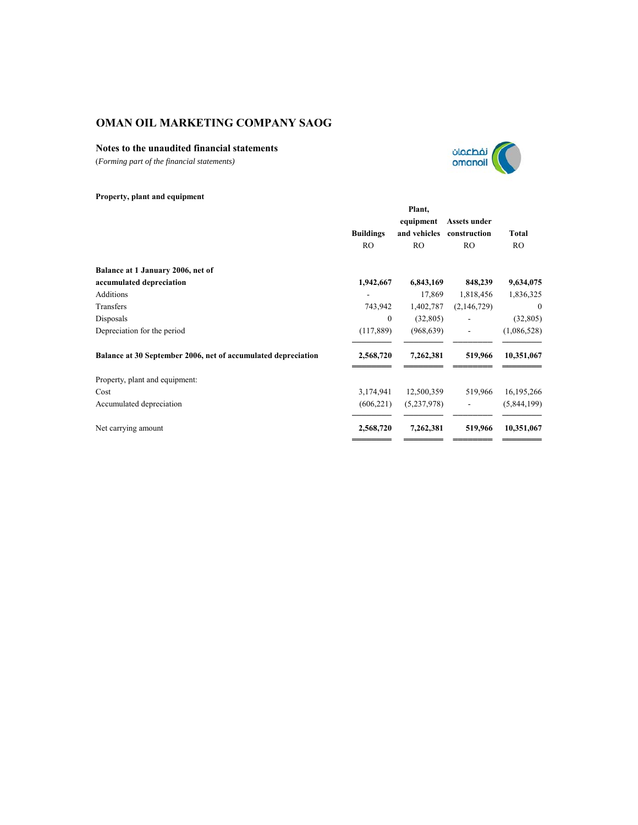## **Notes to the unaudited financial statements**

(*Forming part of the financial statements)*



## **Property, plant and equipment**

| Plant,           |              |                          |                                                                                         |  |
|------------------|--------------|--------------------------|-----------------------------------------------------------------------------------------|--|
|                  | equipment    | Assets under             |                                                                                         |  |
| <b>Buildings</b> | and vehicles | construction             | Total                                                                                   |  |
| R <sub>O</sub>   | RO           | R <sub>O</sub>           | RO.                                                                                     |  |
|                  |              |                          |                                                                                         |  |
| 1,942,667        |              | 848,239                  | 9,634,075                                                                               |  |
|                  |              | 1,818,456                | 1,836,325                                                                               |  |
| 743,942          |              | (2,146,729)              | $\mathbf{0}$                                                                            |  |
| $\mathbf{0}$     |              |                          | (32,805)                                                                                |  |
| (117,889)        |              | $\overline{\phantom{a}}$ | (1,086,528)                                                                             |  |
| 2,568,720        | 7,262,381    | 519,966                  | 10,351,067                                                                              |  |
|                  |              |                          |                                                                                         |  |
| 3,174,941        |              | 519,966                  | 16, 195, 266                                                                            |  |
| (606, 221)       |              | $\overline{\phantom{a}}$ | (5,844,199)                                                                             |  |
| 2,568,720        | 7,262,381    | 519,966                  | 10,351,067                                                                              |  |
|                  |              |                          | 6,843,169<br>17,869<br>1,402,787<br>(32,805)<br>(968, 639)<br>12,500,359<br>(5,237,978) |  |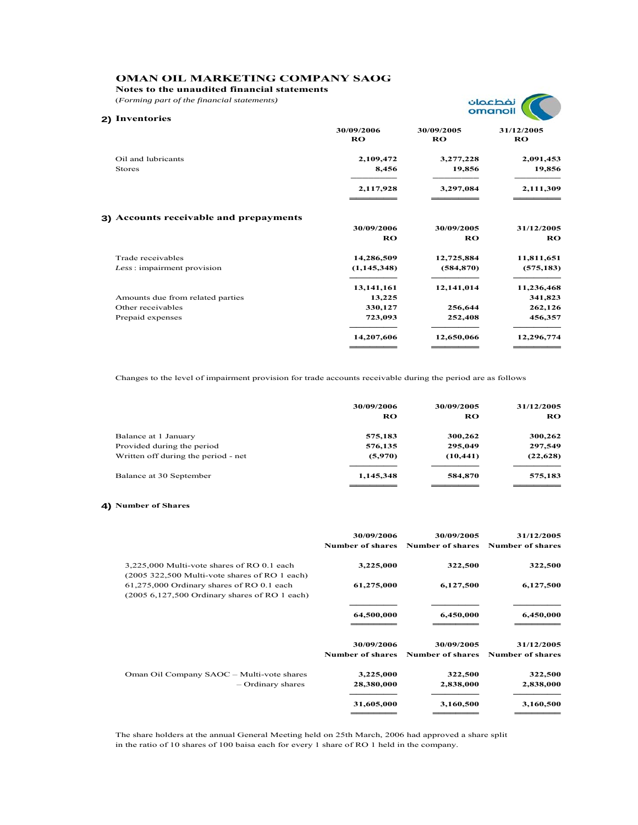**Notes to the unaudited financial statements**

(*Forming part of the financial statements)*



| 2) Inventories                         |                  |                  |                  |  |  |
|----------------------------------------|------------------|------------------|------------------|--|--|
|                                        | 30/09/2006<br>RO | 30/09/2005<br>RO | 31/12/2005<br>RO |  |  |
| Oil and lubricants                     | 2,109,472        | 3,277,228        | 2,091,453        |  |  |
| <b>Stores</b>                          | 8,456            | 19,856           | 19,856           |  |  |
|                                        | 2,117,928        | 3,297,084        | 2,111,309        |  |  |
|                                        |                  |                  |                  |  |  |
| 3) Accounts receivable and prepayments |                  |                  |                  |  |  |
|                                        | 30/09/2006       | 30/09/2005       | 31/12/2005       |  |  |
|                                        | RO               | RO               | RO               |  |  |
| Trade receivables                      | 14,286,509       | 12,725,884       | 11,811,651       |  |  |
| Less: impairment provision             | (1, 145, 348)    | (584, 870)       | (575, 183)       |  |  |
|                                        | 13, 141, 161     | 12,141,014       | 11,236,468       |  |  |
| Amounts due from related parties       | 13,225           |                  | 341,823          |  |  |
| Other receivables                      | 330,127          | 256,644          | 262,126          |  |  |
| Prepaid expenses                       | 723,093          | 252,408          | 456,357          |  |  |
|                                        | 14,207,606       | 12,650,066       | 12,296,774       |  |  |
|                                        |                  |                  |                  |  |  |

Changes to the level of impairment provision for trade accounts receivable during the period are as follows

|                                     | 30/09/2006 | 30/09/2005 | 31/12/2005 |
|-------------------------------------|------------|------------|------------|
|                                     | RO         | RO         | RO.        |
| Balance at 1 January                | 575,183    | 300,262    | 300,262    |
| Provided during the period          | 576,135    | 295,049    | 297,549    |
| Written off during the period - net | (5,970)    | (10, 441)  | (22, 628)  |
| Balance at 30 September             | 1,145,348  | 584,870    | 575,183    |
|                                     |            |            |            |

#### **4) Number of Shares**

|                                                                                                        | 30/09/2006<br><b>Number of shares</b> | 30/09/2005<br>Number of shares        | 31/12/2005<br><b>Number of shares</b> |
|--------------------------------------------------------------------------------------------------------|---------------------------------------|---------------------------------------|---------------------------------------|
| 3,225,000 Multi-vote shares of RO 0.1 each<br>$(2005 322, 500 \text{ Multi-vote shares of RO 1 each})$ | 3,225,000                             | 322,500                               | 322,500                               |
| 61,275,000 Ordinary shares of RO 0.1 each<br>$(2005 6, 127, 500$ Ordinary shares of RO 1 each)         | 61,275,000                            | 6,127,500                             | 6,127,500                             |
|                                                                                                        | 64,500,000                            | 6,450,000                             | 6,450,000                             |
|                                                                                                        | 30/09/2006<br><b>Number of shares</b> | 30/09/2005<br><b>Number of shares</b> | 31/12/2005<br><b>Number of shares</b> |
| Oman Oil Company SAOC - Multi-vote shares<br>- Ordinary shares                                         | 3,225,000<br>28,380,000               | 322,500<br>2,838,000                  | 322,500<br>2,838,000                  |
|                                                                                                        | 31,605,000                            | 3,160,500                             | 3,160,500                             |

The share holders at the annual General Meeting held on 25th March, 2006 had approved a share split in the ratio of 10 shares of 100 baisa each for every 1 share of RO 1 held in the company.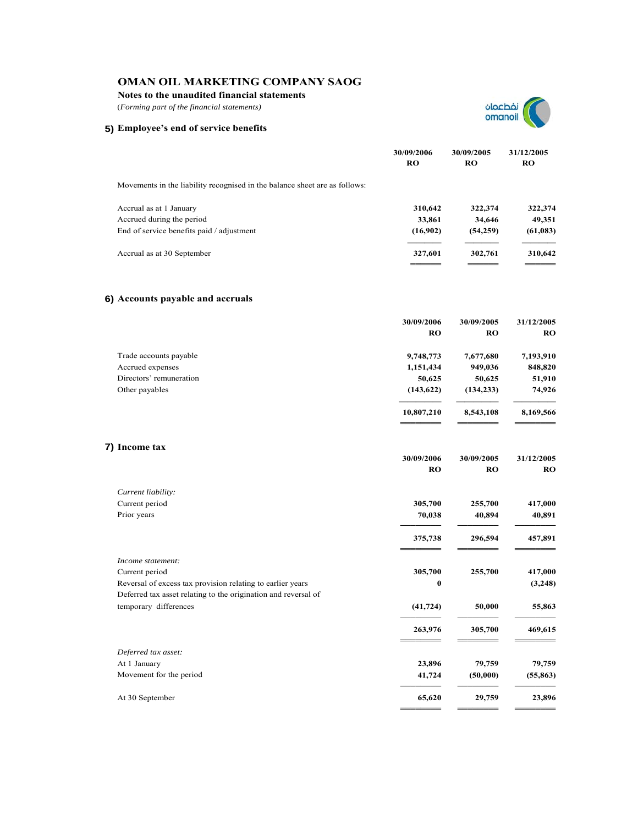**Notes to the unaudited financial statements**

(*Forming part of the financial statements)*





**30/09/2006 30/09/2005 31/12/2005**

|                                                                            | 30/09/2006<br><b>RO</b> | 30/09/2005<br>RO | 31/12/2005<br><b>RO</b> |
|----------------------------------------------------------------------------|-------------------------|------------------|-------------------------|
| Movements in the liability recognised in the balance sheet are as follows: |                         |                  |                         |
| Accrual as at 1 January                                                    | 310,642                 | 322,374          | 322,374                 |
| Accrued during the period                                                  | 33,861                  | 34,646           | 49,351                  |
| End of service benefits paid / adjustment                                  | (16,902)                | (54,259)         | (61,083)                |
| Accrual as at 30 September                                                 | 327,601                 | 302,761          | 310,642                 |

## **6) Accounts payable and accruals**

|                         | 30/09/2006 | 30/09/2005 | 31/12/2005 |
|-------------------------|------------|------------|------------|
|                         | RO         | RO         | RO.        |
| Trade accounts payable  | 9,748,773  | 7,677,680  | 7,193,910  |
| Accrued expenses        | 1,151,434  | 949,036    | 848,820    |
| Directors' remuneration | 50,625     | 50,625     | 51,910     |
| Other payables          | (143, 622) | (134, 233) | 74,926     |
|                         | 10,807,210 | 8,543,108  | 8,169,566  |
|                         |            |            |            |

## **7) Income tax**

|                                                                | <b>RO</b> | <b>RO</b> | RO        |
|----------------------------------------------------------------|-----------|-----------|-----------|
| Current liability:                                             |           |           |           |
| Current period                                                 | 305,700   | 255,700   | 417,000   |
| Prior years                                                    | 70,038    | 40,894    | 40,891    |
|                                                                | 375,738   | 296,594   | 457,891   |
| Income statement:                                              |           |           |           |
| Current period                                                 | 305,700   | 255,700   | 417,000   |
| Reversal of excess tax provision relating to earlier years     | $\bf{0}$  |           | (3,248)   |
| Deferred tax asset relating to the origination and reversal of |           |           |           |
| temporary differences                                          | (41, 724) | 50,000    | 55,863    |
|                                                                | 263,976   | 305,700   | 469,615   |
| Deferred tax asset:                                            |           |           |           |
| At 1 January                                                   | 23,896    | 79,759    | 79,759    |
| Movement for the period                                        | 41,724    | (50,000)  | (55, 863) |
| At 30 September                                                | 65,620    | 29,759    | 23,896    |